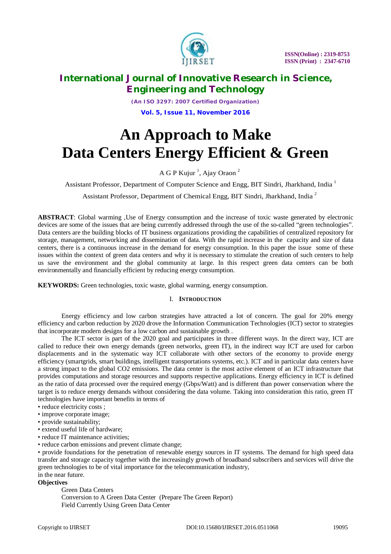

*(An ISO 3297: 2007 Certified Organization)* **Vol. 5, Issue 11, November 2016**

# **An Approach to Make Data Centers Energy Efficient & Green**

A G P Kujur<sup>1</sup>, Ajay Oraon<sup>2</sup>

Assistant Professor, Department of Computer Science and Engg, BIT Sindri, Jharkhand, India<sup>1</sup>

Assistant Professor, Department of Chemical Engg, BIT Sindri, Jharkhand, India <sup>2</sup>

**ABSTRACT**: Global warming ,Use of Energy consumption and the increase of toxic waste generated by electronic devices are some of the issues that are being currently addressed through the use of the so-called "green technologies". Data centers are the building blocks of IT business organizations providing the capabilities of centralized repository for storage, management, networking and dissemination of data. With the rapid increase in the capacity and size of data centers, there is a continuous increase in the demand for energy consumption. In this paper the issue some of these issues within the context of green data centers and why it is necessary to stimulate the creation of such centers to help us save the environment and the global community at large. In this respect green data centers can be both environmentally and financially efficient by reducing energy consumption.

**KEYWORDS:** Green technologies, toxic waste, global warming, energy consumption.

### I. **INTRODUCTION**

Energy efficiency and low carbon strategies have attracted a lot of concern. The goal for 20% energy efficiency and carbon reduction by 2020 drove the Information Communication Technologies (ICT) sector to strategies that incorporate modern designs for a low carbon and sustainable growth .

The ICT sector is part of the 2020 goal and participates in three different ways. In the direct way, ICT are called to reduce their own energy demands (green networks, green IT), in the indirect way ICT are used for carbon displacements and in the systematic way ICT collaborate with other sectors of the economy to provide energy efficiency (smartgrids, smart buildings, intelligent transportations systems, etc.). ICT and in particular data centers have a strong impact to the global CO2 emissions. The data center is the most active element of an ICT infrastructure that provides computations and storage resources and supports respective applications. Energy efficiency in ICT is defined as the ratio of data processed over the required energy (Gbps/Watt) and is different than power conservation where the target is to reduce energy demands without considering the data volume. Taking into consideration this ratio, green IT technologies have important benefits in terms of

- reduce electricity costs ;
- improve corporate image;
- provide sustainability;
- extend useful life of hardware;
- reduce IT maintenance activities:
- reduce carbon emissions and prevent climate change;

• provide foundations for the penetration of renewable energy sources in IT systems. The demand for high speed data transfer and storage capacity together with the increasingly growth of broadband subscribers and services will drive the green technologies to be of vital importance for the telecommunication industry, in the near future.

## **Objectives**

Green Data Centers Conversion to A Green Data Center (Prepare The Green Report) Field Currently Using Green Data Center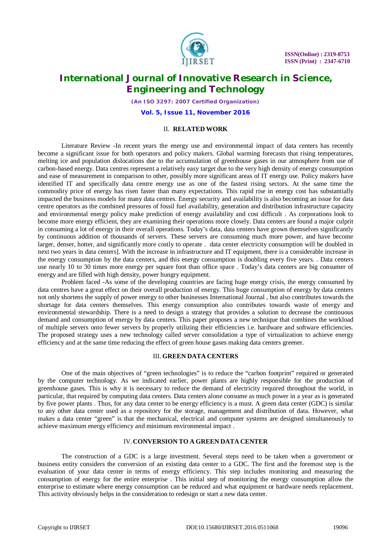

*(An ISO 3297: 2007 Certified Organization)*

**Vol. 5, Issue 11, November 2016**

#### II. **RELATED WORK**

Literature Review -In recent years the energy use and environmental impact of data centers has recently become a significant issue for both operators and policy makers. Global warming forecasts that rising temperatures, melting ice and population dislocations due to the accumulation of greenhouse gases in our atmosphere from use of carbon-based energy. Data centres represent a relatively easy target due to the very high density of energy consumption and ease of measurement in comparison to other, possibly more significant areas of IT energy use. Policy makers have identified IT and specifically data centre energy use as one of the fastest rising sectors. At the same time the commodity price of energy has risen faster than many expectations. This rapid rise in energy cost has substantially impacted the business models for many data centres. Energy security and availability is also becoming an issue for data centre operators as the combined pressures of fossil fuel availability, generation and distribution infrastructure capacity and environmental energy policy make prediction of energy availability and cost difficult . As corporations look to become more energy efficient, they are examining their operations more closely. Data centers are found a major culprit in consuming a lot of energy in their overall operations. Today's data, data centers have grown themselves significantly by continuous addition of thousands of servers. These servers are consuming much more power, and have become larger, denser, hotter, and significantly more costly to operate . data center electricity consumption will be doubled in next two years in data centers]. With the increase in infrastructure and IT equipment, there is a considerable increase in the energy consumption by the data centers, and this energy consumption is doubling every five years. . Data centers use nearly 10 to 30 times more energy per square foot than office space . Today's data centers are big consumer of energy and are filled with high density, power hungry equipment.

Problem faced -As some of the developing countries are facing huge energy crisis, the energy consumed by data centres have a great effect on their overall production of energy. This huge consumption of energy by data centers not only shortens the supply of power energy to other businesses International Journal , but also contributes towards the shortage for data centers themselves. This energy consumption also contributes towards waste of energy and environmental stewardship. There is a need to design a strategy that provides a solution to decrease the continuous demand and consumption of energy by data centers. This paper proposes a new technique that combines the workload of multiple servers onto fewer servers by properly utilizing their efficiencies i.e. hardware and software efficiencies. The proposed strategy uses a new technology called server consolidation a type of virtualization to achieve energy efficiency and at the same time reducing the effect of green house gases making data centers greener.

#### III. **GREEN DATA CENTERS**

One of the main objectives of "green technologies" is to reduce the "carbon footprint" required or generated by the computer technology. As we indicated earlier, power plants are highly responsible for the production of greenhouse gases. This is why it is necessary to reduce the demand of electricity required throughout the world, in particular, that required by computing data centers. Data centers alone consume as much power in a year as is generated by five power plants . Thus, for any data center to be energy efficiency is a must. A green data center (GDC) is similar to any other data center used as a repository for the storage, management and distribution of data. However, what makes a data center "green" is that the mechanical, electrical and computer systems are designed simultaneously to achieve maximum energy efficiency and minimum environmental impact .

#### IV.**CONVERSION TO A GREEN DATA CENTER**

The construction of a GDC is a large investment. Several steps need to be taken when a government or business entity considers the conversion of an existing data center to a GDC. The first and the foremost step is the evaluation of your data center in terms of energy efficiency. This step includes monitoring and measuring the consumption of energy for the entire enterprise . This initial step of monitoring the energy consumption allow the enterprise to estimate where energy consumption can be reduced and what equipment or hardware needs replacement. This activity obviously helps in the consideration to redesign or start a new data center.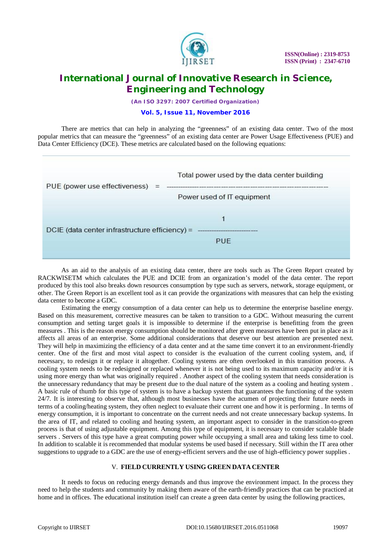

*(An ISO 3297: 2007 Certified Organization)*

#### **Vol. 5, Issue 11, November 2016**

There are metrics that can help in analyzing the "greenness" of an existing data center. Two of the most popular metrics that can measure the "greenness" of an existing data center are Power Usage Effectiveness (PUE) and Data Center Efficiency (DCE). These metrics are calculated based on the following equations:



As an aid to the analysis of an existing data center, there are tools such as The Green Report created by RACKWISETM which calculates the PUE and DCIE from an organization's model of the data center. The report produced by this tool also breaks down resources consumption by type such as servers, network, storage equipment, or other. The Green Report is an excellent tool as it can provide the organizations with measures that can help the existing data center to become a GDC.

Estimating the energy consumption of a data center can help us to determine the enterprise baseline energy. Based on this measurement, corrective measures can be taken to transition to a GDC. Without measuring the current consumption and setting target goals it is impossible to determine if the enterprise is benefitting from the green measures . This is the reason energy consumption should be monitored after green measures have been put in place as it affects all areas of an enterprise. Some additional considerations that deserve our best attention are presented next. They will help in maximizing the efficiency of a data center and at the same time convert it to an environment-friendly center. One of the first and most vital aspect to consider is the evaluation of the current cooling system, and, if necessary, to redesign it or replace it altogether. Cooling systems are often overlooked in this transition process. A cooling system needs to be redesigned or replaced whenever it is not being used to its maximum capacity and/or it is using more energy than what was originally required . Another aspect of the cooling system that needs consideration is the unnecessary redundancy that may be present due to the dual nature of the system as a cooling and heating system . A basic rule of thumb for this type of system is to have a backup system that guarantees the functioning of the system 24/7. It is interesting to observe that, although most businesses have the acumen of projecting their future needs in terms of a cooling/heating system, they often neglect to evaluate their current one and how it is performing . In terms of energy consumption, it is important to concentrate on the current needs and not create unnecessary backup systems. In the area of IT, and related to cooling and heating system, an important aspect to consider in the transition-to-green process is that of using adjustable equipment. Among this type of equipment, it is necessary to consider scalable blade servers . Servers of this type have a great computing power while occupying a small area and taking less time to cool. In addition to scalable it is recommended that modular systems be used based if necessary. Still within the IT area other suggestions to upgrade to a GDC are the use of energy-efficient servers and the use of high-efficiency power supplies .

#### V. **FIELD CURRENTLY USING GREEN DATA CENTER**

It needs to focus on reducing energy demands and thus improve the environment impact. In the process they need to help the students and community by making them aware of the earth-friendly practices that can be practiced at home and in offices. The educational institution itself can create a green data center by using the following practices,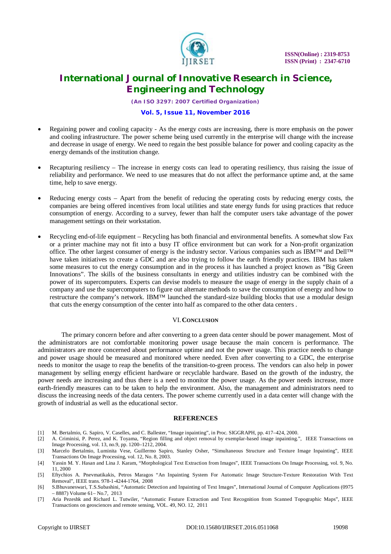

*(An ISO 3297: 2007 Certified Organization)*

#### **Vol. 5, Issue 11, November 2016**

- Regaining power and cooling capacity As the energy costs are increasing, there is more emphasis on the power and cooling infrastructure. The power scheme being used currently in the enterprise will change with the increase and decrease in usage of energy. We need to regain the best possible balance for power and cooling capacity as the energy demands of the institution change.
- Recapturing resiliency The increase in energy costs can lead to operating resiliency, thus raising the issue of reliability and performance. We need to use measures that do not affect the performance uptime and, at the same time, help to save energy.
- Reducing energy costs Apart from the benefit of reducing the operating costs by reducing energy costs, the companies are being offered incentives from local utilities and state energy funds for using practices that reduce consumption of energy. According to a survey, fewer than half the computer users take advantage of the power management settings on their workstation.
- Recycling end-of-life equipment Recycling has both financial and environmental benefits. A somewhat slow Fax or a printer machine may not fit into a busy IT office environment but can work for a Non-profit organization office. The other largest consumer of energy is the industry sector. Various companies such as IBM™ and Dell™ have taken initiatives to create a GDC and are also trying to follow the earth friendly practices. IBM has taken some measures to cut the energy consumption and in the process it has launched a project known as "Big Green Innovations". The skills of the business consultants in energy and utilities industry can be combined with the power of its supercomputers. Experts can devise models to measure the usage of energy in the supply chain of a company and use the supercomputers to figure out alternate methods to save the consumption of energy and how to restructure the company's network. IBM™ launched the standard-size building blocks that use a modular design that cuts the energy consumption of the center into half as compared to the other data centers .

#### VI.**CONCLUSION**

The primary concern before and after converting to a green data center should be power management. Most of the administrators are not comfortable monitoring power usage because the main concern is performance. The administrators are more concerned about performance uptime and not the power usage. This practice needs to change and power usage should be measured and monitored where needed. Even after converting to a GDC, the enterprise needs to monitor the usage to reap the benefits of the transition-to-green process. The vendors can also help in power management by selling energy efficient hardware or recyclable hardware. Based on the growth of the industry, the power needs are increasing and thus there is a need to monitor the power usage. As the power needs increase, more earth-friendly measures can to be taken to help the environment. Also, the management and administrators need to discuss the increasing needs of the data centers. The power scheme currently used in a data center will change with the growth of industrial as well as the educational sector.

#### **REFERENCES**

- [1] M. Bertalmio, G. Sapiro, V. Caselles, and C. Ballester, "Image inpainting", in Proc. SIGGRAPH, pp. 417–424, 2000.
- [2] A. Criminisi, P. Perez, and K. Toyama, "Region filling and object removal by exemplar-based image inpainting.", IEEE Transactions on Image Processing, vol. 13, no.9, pp. 1200–1212, 2004.
- [3] Marcelo Bertalmio, Luminita Vese, Guillermo Sapiro, Stanley Osher, "Simultaneous Structure and Texture Image Inpainting", IEEE Transactions On Image Processing, vol. 12, No. 8, 2003.
- [4] Yassin M. Y. Hasan and Lina J. Karam, "Morphological Text Extraction from Images", IEEE Transactions On Image Processing, vol. 9, No. 11, 2000
- [5] Eftychios A. Pnevmatikakis, Petros Maragos "An Inpainting System For Automatic Image Structure-Texture Restoration With Text Removal", IEEE trans. 978-1-4244-1764, 2008
- [6] S.Bhuvaneswari, T.S.Subashini, "Automatic Detection and Inpainting of Text Images", International Journal of Computer Applications (0975 – 8887) Volume 61– No.7, 2013
- [7] Aria Pezeshk and Richard L. Tutwiler, "Automatic Feature Extraction and Text Recognition from Scanned Topographic Maps", IEEE Transactions on geosciences and remote sensing, VOL. 49, NO. 12, 2011